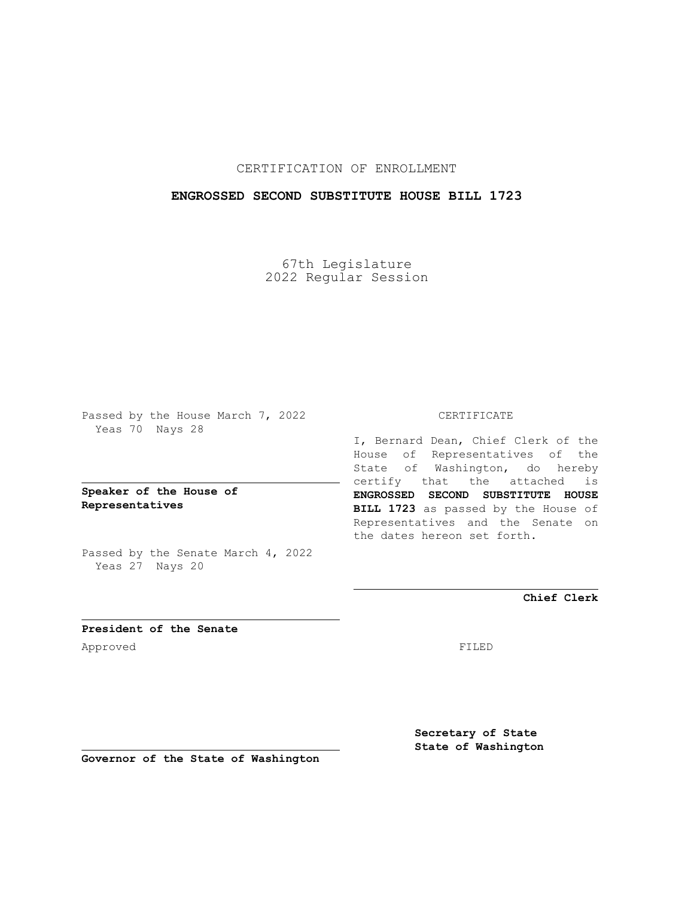## CERTIFICATION OF ENROLLMENT

## **ENGROSSED SECOND SUBSTITUTE HOUSE BILL 1723**

67th Legislature 2022 Regular Session

Passed by the House March 7, 2022 Yeas 70 Nays 28

**Speaker of the House of Representatives**

Passed by the Senate March 4, 2022 Yeas 27 Nays 20

#### CERTIFICATE

I, Bernard Dean, Chief Clerk of the House of Representatives of the State of Washington, do hereby certify that the attached is **ENGROSSED SECOND SUBSTITUTE HOUSE BILL 1723** as passed by the House of Representatives and the Senate on the dates hereon set forth.

**Chief Clerk**

**President of the Senate** Approved FILED

**Secretary of State State of Washington**

**Governor of the State of Washington**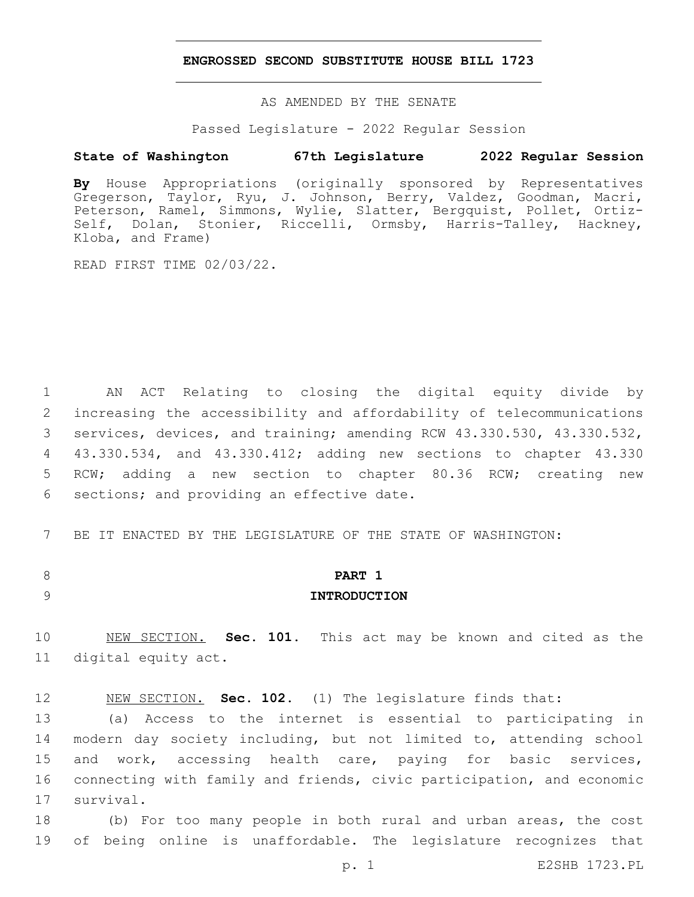#### **ENGROSSED SECOND SUBSTITUTE HOUSE BILL 1723**

AS AMENDED BY THE SENATE

Passed Legislature - 2022 Regular Session

### **State of Washington 67th Legislature 2022 Regular Session**

**By** House Appropriations (originally sponsored by Representatives Gregerson, Taylor, Ryu, J. Johnson, Berry, Valdez, Goodman, Macri, Peterson, Ramel, Simmons, Wylie, Slatter, Bergquist, Pollet, Ortiz-Self, Dolan, Stonier, Riccelli, Ormsby, Harris-Talley, Hackney, Kloba, and Frame)

READ FIRST TIME 02/03/22.

 AN ACT Relating to closing the digital equity divide by increasing the accessibility and affordability of telecommunications services, devices, and training; amending RCW 43.330.530, 43.330.532, 43.330.534, and 43.330.412; adding new sections to chapter 43.330 RCW; adding a new section to chapter 80.36 RCW; creating new 6 sections; and providing an effective date.

7 BE IT ENACTED BY THE LEGISLATURE OF THE STATE OF WASHINGTON:

## 8 **PART 1** 9 **INTRODUCTION**

10 NEW SECTION. **Sec. 101.** This act may be known and cited as the 11 digital equity act.

12 NEW SECTION. **Sec. 102.** (1) The legislature finds that:

13 (a) Access to the internet is essential to participating in 14 modern day society including, but not limited to, attending school 15 and work, accessing health care, paying for basic services, 16 connecting with family and friends, civic participation, and economic 17 survival.

18 (b) For too many people in both rural and urban areas, the cost 19 of being online is unaffordable. The legislature recognizes that

p. 1 E2SHB 1723.PL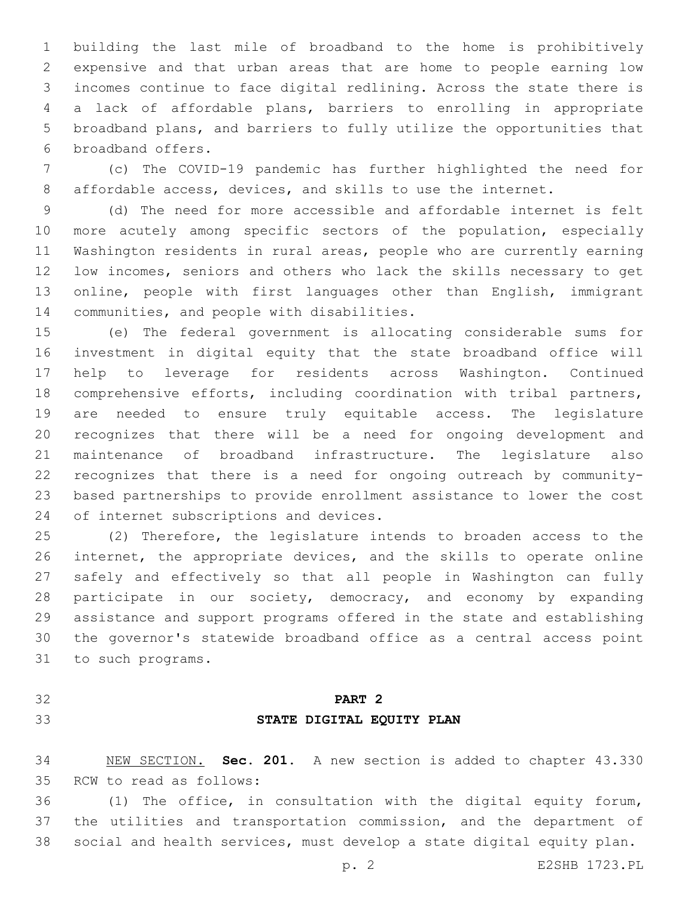building the last mile of broadband to the home is prohibitively expensive and that urban areas that are home to people earning low incomes continue to face digital redlining. Across the state there is a lack of affordable plans, barriers to enrolling in appropriate broadband plans, and barriers to fully utilize the opportunities that 6 broadband offers.

 (c) The COVID-19 pandemic has further highlighted the need for affordable access, devices, and skills to use the internet.

 (d) The need for more accessible and affordable internet is felt 10 more acutely among specific sectors of the population, especially Washington residents in rural areas, people who are currently earning low incomes, seniors and others who lack the skills necessary to get online, people with first languages other than English, immigrant 14 communities, and people with disabilities.

 (e) The federal government is allocating considerable sums for investment in digital equity that the state broadband office will help to leverage for residents across Washington. Continued comprehensive efforts, including coordination with tribal partners, are needed to ensure truly equitable access. The legislature recognizes that there will be a need for ongoing development and maintenance of broadband infrastructure. The legislature also recognizes that there is a need for ongoing outreach by community- based partnerships to provide enrollment assistance to lower the cost 24 of internet subscriptions and devices.

 (2) Therefore, the legislature intends to broaden access to the internet, the appropriate devices, and the skills to operate online safely and effectively so that all people in Washington can fully participate in our society, democracy, and economy by expanding assistance and support programs offered in the state and establishing the governor's statewide broadband office as a central access point 31 to such programs.

# **PART 2 STATE DIGITAL EQUITY PLAN**

 NEW SECTION. **Sec. 201.** A new section is added to chapter 43.330 35 RCW to read as follows:

 (1) The office, in consultation with the digital equity forum, the utilities and transportation commission, and the department of social and health services, must develop a state digital equity plan.

p. 2 E2SHB 1723.PL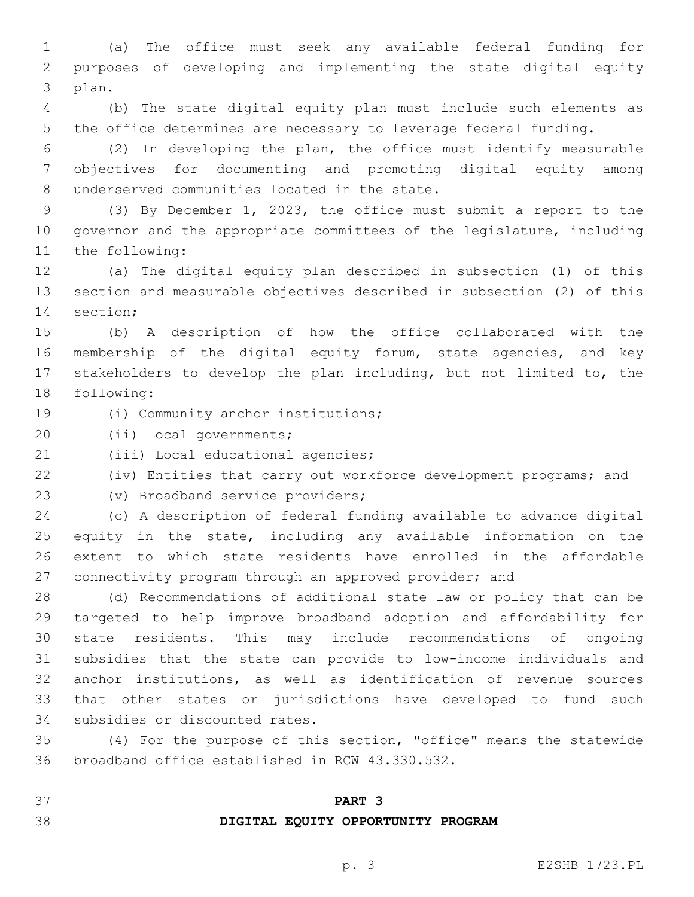(a) The office must seek any available federal funding for purposes of developing and implementing the state digital equity 3 plan.

 (b) The state digital equity plan must include such elements as the office determines are necessary to leverage federal funding.

 (2) In developing the plan, the office must identify measurable objectives for documenting and promoting digital equity among 8 underserved communities located in the state.

 (3) By December 1, 2023, the office must submit a report to the governor and the appropriate committees of the legislature, including 11 the following:

 (a) The digital equity plan described in subsection (1) of this section and measurable objectives described in subsection (2) of this 14 section;

 (b) A description of how the office collaborated with the membership of the digital equity forum, state agencies, and key stakeholders to develop the plan including, but not limited to, the 18 following:

19 (i) Community anchor institutions;

20 (ii) Local governments;

21 (iii) Local educational agencies;

(iv) Entities that carry out workforce development programs; and

23 (v) Broadband service providers;

 (c) A description of federal funding available to advance digital equity in the state, including any available information on the extent to which state residents have enrolled in the affordable 27 connectivity program through an approved provider; and

 (d) Recommendations of additional state law or policy that can be targeted to help improve broadband adoption and affordability for state residents. This may include recommendations of ongoing subsidies that the state can provide to low-income individuals and anchor institutions, as well as identification of revenue sources that other states or jurisdictions have developed to fund such 34 subsidies or discounted rates.

 (4) For the purpose of this section, "office" means the statewide 36 broadband office established in RCW 43.330.532.

**PART 3**

**DIGITAL EQUITY OPPORTUNITY PROGRAM**

#### p. 3 E2SHB 1723.PL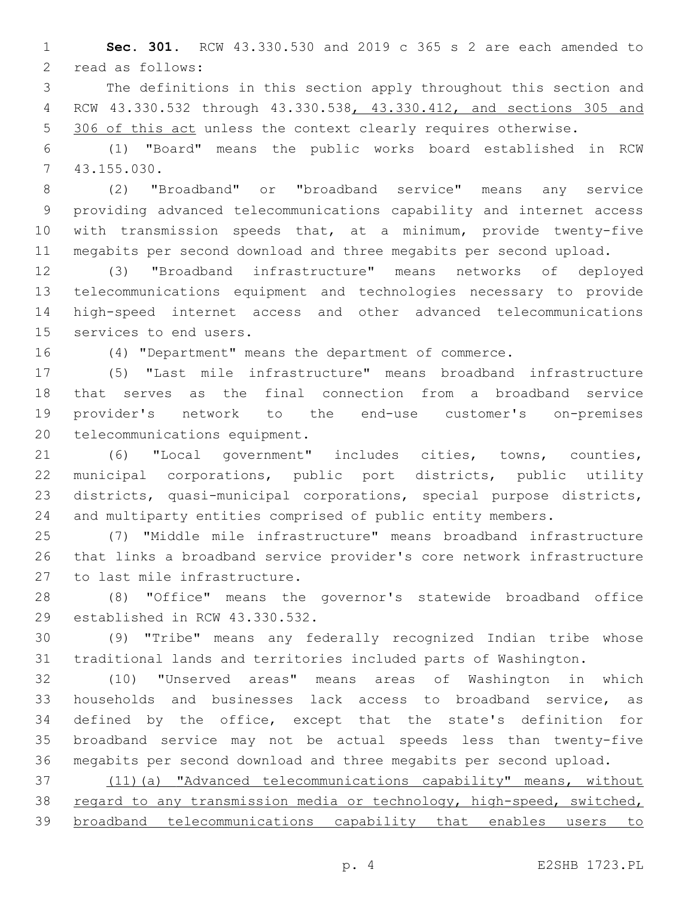**Sec. 301.** RCW 43.330.530 and 2019 c 365 s 2 are each amended to 2 read as follows:

 The definitions in this section apply throughout this section and RCW 43.330.532 through 43.330.538, 43.330.412, and sections 305 and 5 306 of this act unless the context clearly requires otherwise.

 (1) "Board" means the public works board established in RCW 43.155.030.7

 (2) "Broadband" or "broadband service" means any service providing advanced telecommunications capability and internet access with transmission speeds that, at a minimum, provide twenty-five megabits per second download and three megabits per second upload.

 (3) "Broadband infrastructure" means networks of deployed telecommunications equipment and technologies necessary to provide high-speed internet access and other advanced telecommunications 15 services to end users.

(4) "Department" means the department of commerce.

 (5) "Last mile infrastructure" means broadband infrastructure that serves as the final connection from a broadband service provider's network to the end-use customer's on-premises 20 telecommunications equipment.

 (6) "Local government" includes cities, towns, counties, municipal corporations, public port districts, public utility districts, quasi-municipal corporations, special purpose districts, and multiparty entities comprised of public entity members.

 (7) "Middle mile infrastructure" means broadband infrastructure that links a broadband service provider's core network infrastructure 27 to last mile infrastructure.

 (8) "Office" means the governor's statewide broadband office 29 established in RCW 43.330.532.

 (9) "Tribe" means any federally recognized Indian tribe whose traditional lands and territories included parts of Washington.

 (10) "Unserved areas" means areas of Washington in which households and businesses lack access to broadband service, as defined by the office, except that the state's definition for broadband service may not be actual speeds less than twenty-five megabits per second download and three megabits per second upload.

 (11)(a) "Advanced telecommunications capability" means, without regard to any transmission media or technology, high-speed, switched, broadband telecommunications capability that enables users to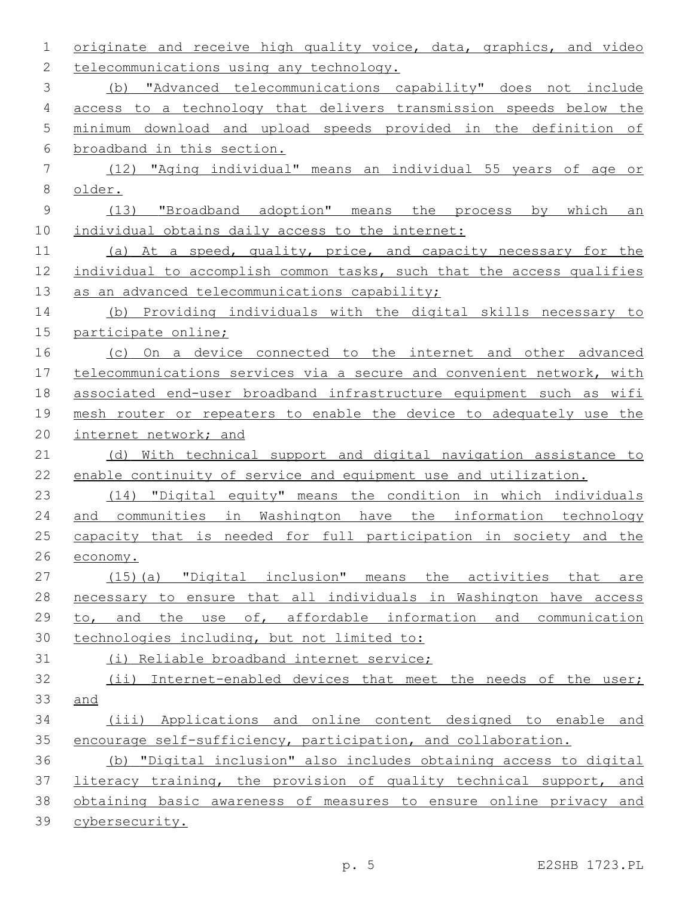| 1             | originate and receive high quality voice, data, graphics, and video   |
|---------------|-----------------------------------------------------------------------|
| $\mathbf{2}$  | telecommunications using any technology.                              |
| 3             | (b) "Advanced telecommunications capability" does not include         |
| 4             | access to a technology that delivers transmission speeds below the    |
| 5             | minimum download and upload speeds provided in the definition of      |
| 6             | broadband in this section.                                            |
| 7             | (12) "Aging individual" means an individual 55 years of age or        |
| 8             | older.                                                                |
| $\mathcal{G}$ | (13) "Broadband adoption" means the process by which<br>an            |
| 10            | individual obtains daily access to the internet:                      |
| 11            | (a) At a speed, quality, price, and capacity necessary for the        |
| 12            | individual to accomplish common tasks, such that the access qualifies |
| 13            | as an advanced telecommunications capability;                         |
| 14            | (b) Providing individuals with the digital skills necessary to        |
| 15            | participate online;                                                   |
| 16            | On a device connected to the internet and other advanced<br>(C)       |
| 17            | telecommunications services via a secure and convenient network, with |
| 18            | associated end-user broadband infrastructure equipment such as wifi   |
| 19            | mesh router or repeaters to enable the device to adequately use the   |
| 20            | internet network; and                                                 |
| 21            | (d) With technical support and digital navigation assistance to       |
| 22            | enable continuity of service and equipment use and utilization.       |
| 23            | (14) "Digital equity" means the condition in which individuals        |
| 24            | and communities in Washington have the information technology         |
| 25            | capacity that is needed for full participation in society and the     |
| 26            | economy.                                                              |
| 27            | (15)(a) "Digital inclusion" means the activities that are             |
| 28            | necessary to ensure that all individuals in Washington have access    |
| 29            | to, and the use of, affordable information and communication          |
| 30            | technologies including, but not limited to:                           |
| 31            | (i) Reliable broadband internet service;                              |
| 32            | (ii) Internet-enabled devices that meet the needs of the user;        |
| 33            | and                                                                   |
| 34            | (iii) Applications and online content designed to enable and          |
| 35            | encourage self-sufficiency, participation, and collaboration.         |
| 36            | (b) "Digital inclusion" also includes obtaining access to digital     |
| 37            | literacy training, the provision of quality technical support, and    |
| 38            | obtaining basic awareness of measures to ensure online privacy and    |
| 39            | cybersecurity.                                                        |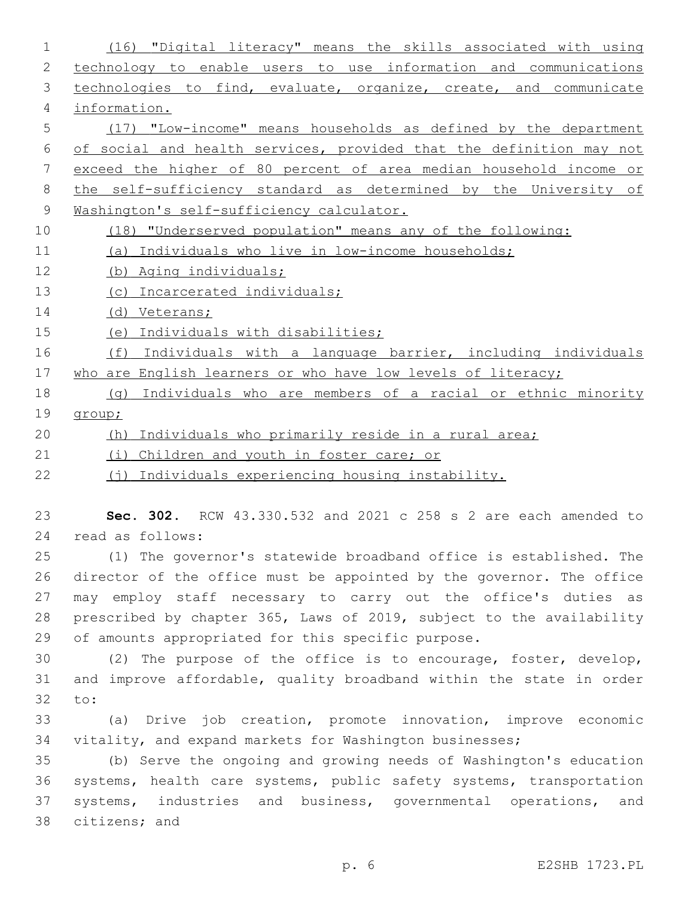| $\mathbf 1$ | (16) "Digital literacy" means the skills associated with using       |
|-------------|----------------------------------------------------------------------|
| 2           | technology to enable users to use information and communications     |
| 3           | technologies to find, evaluate, organize, create, and communicate    |
| 4           | information.                                                         |
| 5           | (17) "Low-income" means households as defined by the department      |
| 6           | of social and health services, provided that the definition may not  |
| 7           | exceed the higher of 80 percent of area median household income or   |
| 8           | the self-sufficiency standard as determined by the University of     |
| 9           | Washington's self-sufficiency calculator.                            |
| 10          | (18) "Underserved population" means any of the following:            |
| 11          | (a) Individuals who live in low-income households;                   |
| 12          | (b) Aging individuals;                                               |
| 13          | Incarcerated individuals;<br>(C)                                     |
| 14          | (d) Veterans;                                                        |
| 15          | Individuals with disabilities;<br>(e)                                |
| 16          | (f)<br>Individuals with a language barrier, including individuals    |
| 17          | who are English learners or who have low levels of literacy;         |
| 18          | Individuals who are members of a racial or ethnic minority<br>(q)    |
| 19          | group;                                                               |
| 20          | Individuals who primarily reside in a rural area;<br>(h)             |
| 21          | (i)<br>Children and youth in foster care; or                         |
| 22          | (j) Individuals experiencing housing instability.                    |
| 23          | Sec. 302. RCW 43.330.532 and 2021 c 258 s 2 are each amended to      |
| 24          | read as follows:                                                     |
| 25          | (1) The governor's statewide broadband office is established. The    |
| 26          | director of the office must be appointed by the governor. The office |
| 27          | may employ staff necessary to carry out the office's duties as       |
| 28          | prescribed by chapter 365, Laws of 2019, subject to the availability |
| 29          | of amounts appropriated for this specific purpose.                   |
| 30          | (2) The purpose of the office is to encourage, foster, develop,      |
| 31          | and improve affordable, quality broadband within the state in order  |
| 32          | to:                                                                  |
| 33          | (a) Drive job creation, promote innovation, improve economic         |
| 34          | vitality, and expand markets for Washington businesses;              |
| 35          | (b) Serve the ongoing and growing needs of Washington's education    |
| 36          | systems, health care systems, public safety systems, transportation  |
| 37          | systems, industries and business, governmental operations, and       |
| 38          | citizens; and                                                        |
|             |                                                                      |
|             | E2SHB 1723.PL<br>p. 6                                                |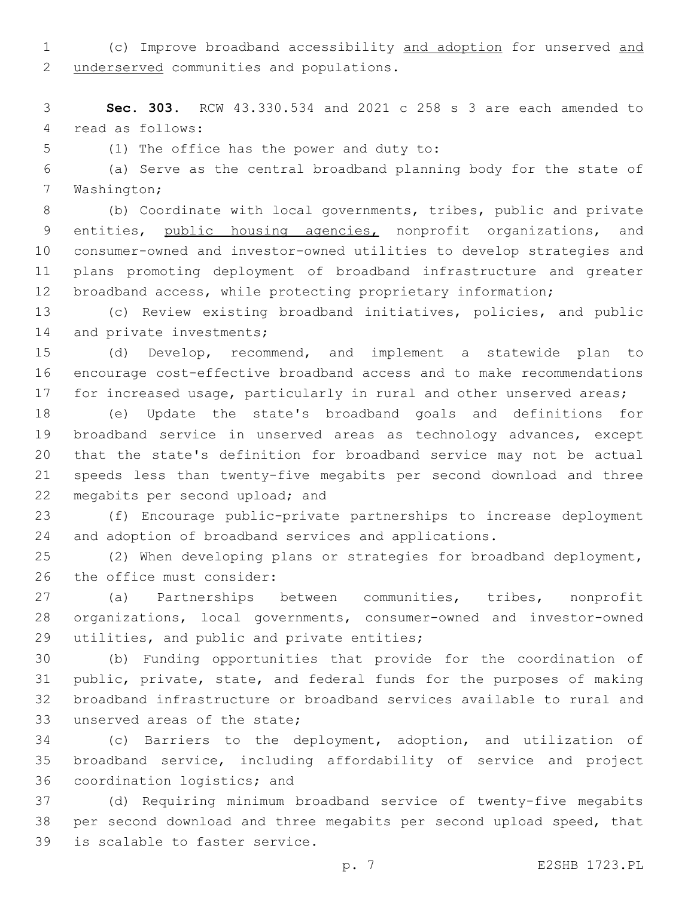(c) Improve broadband accessibility and adoption for unserved and 2 underserved communities and populations.

 **Sec. 303.** RCW 43.330.534 and 2021 c 258 s 3 are each amended to 4 read as follows:

5 (1) The office has the power and duty to:

 (a) Serve as the central broadband planning body for the state of 7 Washington;

 (b) Coordinate with local governments, tribes, public and private entities, public housing agencies, nonprofit organizations, and consumer-owned and investor-owned utilities to develop strategies and plans promoting deployment of broadband infrastructure and greater broadband access, while protecting proprietary information;

 (c) Review existing broadband initiatives, policies, and public 14 and private investments;

 (d) Develop, recommend, and implement a statewide plan to encourage cost-effective broadband access and to make recommendations 17 for increased usage, particularly in rural and other unserved areas;

 (e) Update the state's broadband goals and definitions for broadband service in unserved areas as technology advances, except that the state's definition for broadband service may not be actual speeds less than twenty-five megabits per second download and three 22 megabits per second upload; and

 (f) Encourage public-private partnerships to increase deployment and adoption of broadband services and applications.

 (2) When developing plans or strategies for broadband deployment, 26 the office must consider:

 (a) Partnerships between communities, tribes, nonprofit organizations, local governments, consumer-owned and investor-owned 29 utilities, and public and private entities;

 (b) Funding opportunities that provide for the coordination of public, private, state, and federal funds for the purposes of making broadband infrastructure or broadband services available to rural and 33 unserved areas of the state;

 (c) Barriers to the deployment, adoption, and utilization of broadband service, including affordability of service and project 36 coordination logistics; and

 (d) Requiring minimum broadband service of twenty-five megabits per second download and three megabits per second upload speed, that 39 is scalable to faster service.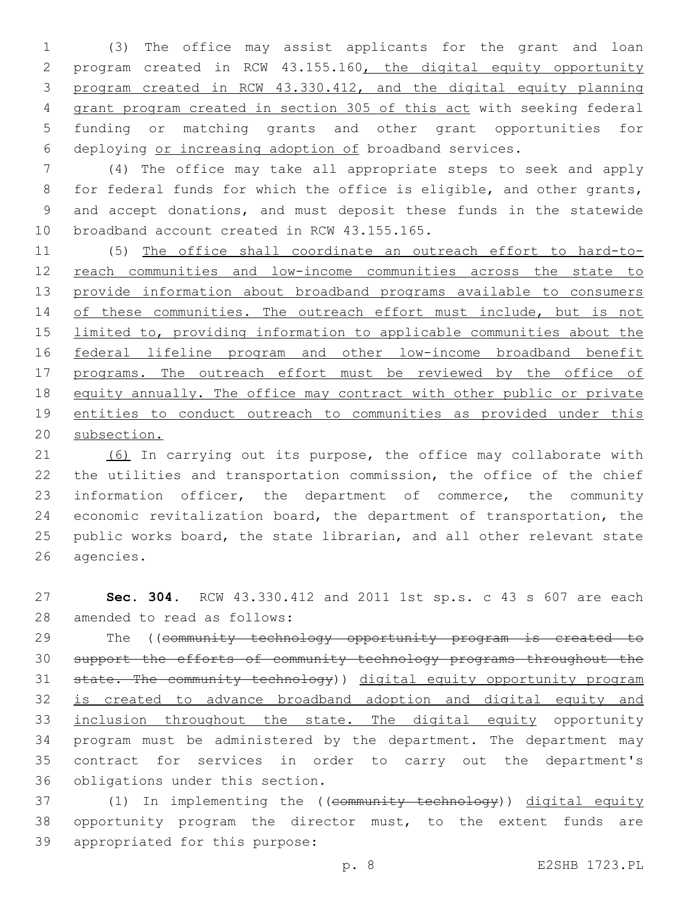(3) The office may assist applicants for the grant and loan program created in RCW 43.155.160, the digital equity opportunity program created in RCW 43.330.412, and the digital equity planning grant program created in section 305 of this act with seeking federal funding or matching grants and other grant opportunities for deploying or increasing adoption of broadband services.

 (4) The office may take all appropriate steps to seek and apply for federal funds for which the office is eligible, and other grants, and accept donations, and must deposit these funds in the statewide 10 broadband account created in RCW 43.155.165.

 (5) The office shall coordinate an outreach effort to hard-to-12 reach communities and low-income communities across the state to 13 provide information about broadband programs available to consumers 14 of these communities. The outreach effort must include, but is not 15 limited to, providing information to applicable communities about the 16 federal lifeline program and other low-income broadband benefit programs. The outreach effort must be reviewed by the office of equity annually. The office may contract with other public or private 19 entities to conduct outreach to communities as provided under this subsection.

21 (6) In carrying out its purpose, the office may collaborate with the utilities and transportation commission, the office of the chief information officer, the department of commerce, the community economic revitalization board, the department of transportation, the public works board, the state librarian, and all other relevant state 26 agencies.

 **Sec. 304.** RCW 43.330.412 and 2011 1st sp.s. c 43 s 607 are each 28 amended to read as follows:

29 The ((community technology opportunity program is created to support the efforts of community technology programs throughout the state. The community technology)) digital equity opportunity program is created to advance broadband adoption and digital equity and inclusion throughout the state. The digital equity opportunity program must be administered by the department. The department may contract for services in order to carry out the department's 36 obligations under this section.

 (1) In implementing the ((community technology)) digital equity opportunity program the director must, to the extent funds are 39 appropriated for this purpose:

p. 8 E2SHB 1723.PL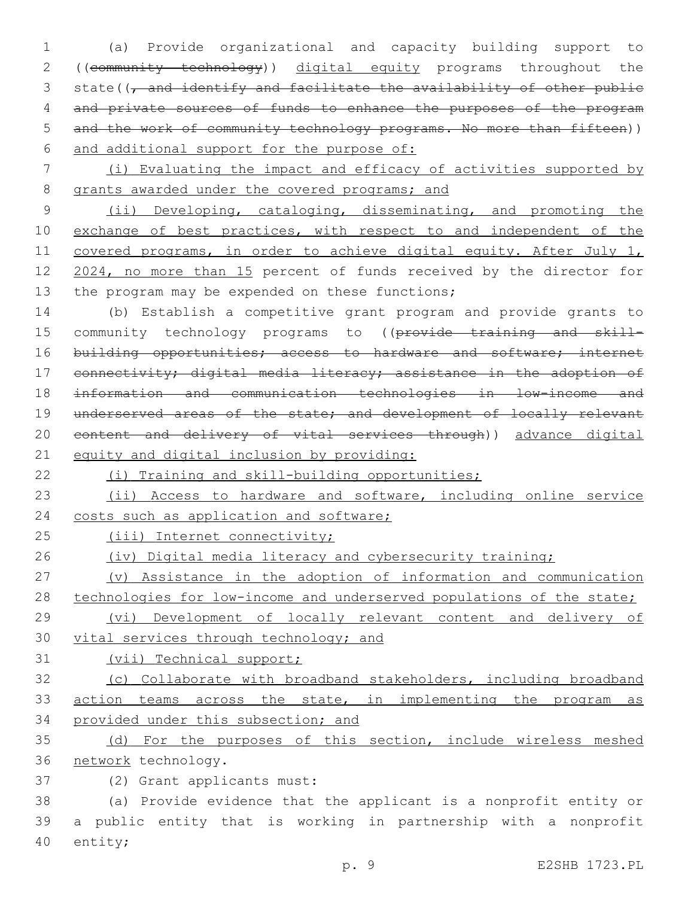1 (a) Provide organizational and capacity building support to 2 ((community technology)) digital equity programs throughout the 3 state( $\sqrt{7}$  and identify and facilitate the availability of other public 4 and private sources of funds to enhance the purposes of the program 5 and the work of community technology programs. No more than fifteen)) 6 and additional support for the purpose of:

7 (i) Evaluating the impact and efficacy of activities supported by 8 grants awarded under the covered programs; and

9 (ii) Developing, cataloging, disseminating, and promoting the 10 exchange of best practices, with respect to and independent of the 11 covered programs, in order to achieve digital equity. After July 1, 12 2024, no more than 15 percent of funds received by the director for 13 the program may be expended on these functions;

14 (b) Establish a competitive grant program and provide grants to 15 community technology programs to ((provide training and skill-16 building opportunities; access to hardware and software; internet 17 connectivity; digital media literacy; assistance in the adoption of 18 information and communication technologies in low-income and 19 underserved areas of the state; and development of locally relevant 20 content and delivery of vital services through)) advance digital 21 equity and digital inclusion by providing:

22 (i) Training and skill-building opportunities;

23 (ii) Access to hardware and software, including online service 24 costs such as application and software;

25 (iii) Internet connectivity;

26 (iv) Digital media literacy and cybersecurity training;

27 (v) Assistance in the adoption of information and communication 28 technologies for low-income and underserved populations of the state;

29 (vi) Development of locally relevant content and delivery of 30 vital services through technology; and

31 (vii) Technical support;

32 (c) Collaborate with broadband stakeholders, including broadband 33 action teams across the state, in implementing the program as 34 provided under this subsection; and

35 (d) For the purposes of this section, include wireless meshed 36 network technology.

(2) Grant applicants must:37

38 (a) Provide evidence that the applicant is a nonprofit entity or 39 a public entity that is working in partnership with a nonprofit 40 entity;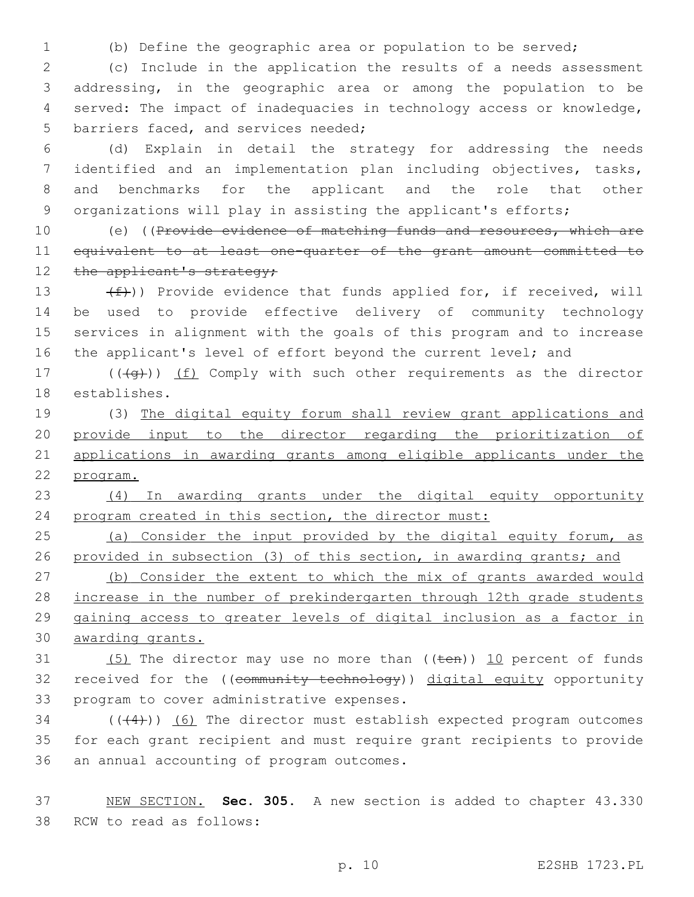1 (b) Define the geographic area or population to be served;

 (c) Include in the application the results of a needs assessment addressing, in the geographic area or among the population to be served: The impact of inadequacies in technology access or knowledge, 5 barriers faced, and services needed;

 (d) Explain in detail the strategy for addressing the needs identified and an implementation plan including objectives, tasks, and benchmarks for the applicant and the role that other 9 organizations will play in assisting the applicant's efforts;

10 (e) ((Provide evidence of matching funds and resources, which are 11 equivalent to at least one-quarter of the grant amount committed to 12 the applicant's strategy;

 $(f)$ ) Provide evidence that funds applied for, if received, will be used to provide effective delivery of community technology services in alignment with the goals of this program and to increase 16 the applicant's level of effort beyond the current level; and

17  $((\overline{q}))(f)$  Comply with such other requirements as the director 18 establishes.

 (3) The digital equity forum shall review grant applications and provide input to the director regarding the prioritization of applications in awarding grants among eligible applicants under the 22 program.

23 (4) In awarding grants under the digital equity opportunity 24 program created in this section, the director must:

25 (a) Consider the input provided by the digital equity forum, as 26 provided in subsection (3) of this section, in awarding grants; and 27 (b) Consider the extent to which the mix of grants awarded would

28 increase in the number of prekindergarten through 12th grade students 29 gaining access to greater levels of digital inclusion as a factor in 30 awarding grants.

31  $(5)$  The director may use no more than  $((\text{ten}))$  10 percent of funds 32 received for the ((community technology)) digital equity opportunity 33 program to cover administrative expenses.

 $34$  ( $(44)$ )) (6) The director must establish expected program outcomes 35 for each grant recipient and must require grant recipients to provide 36 an annual accounting of program outcomes.

37 NEW SECTION. **Sec. 305.** A new section is added to chapter 43.330 38 RCW to read as follows: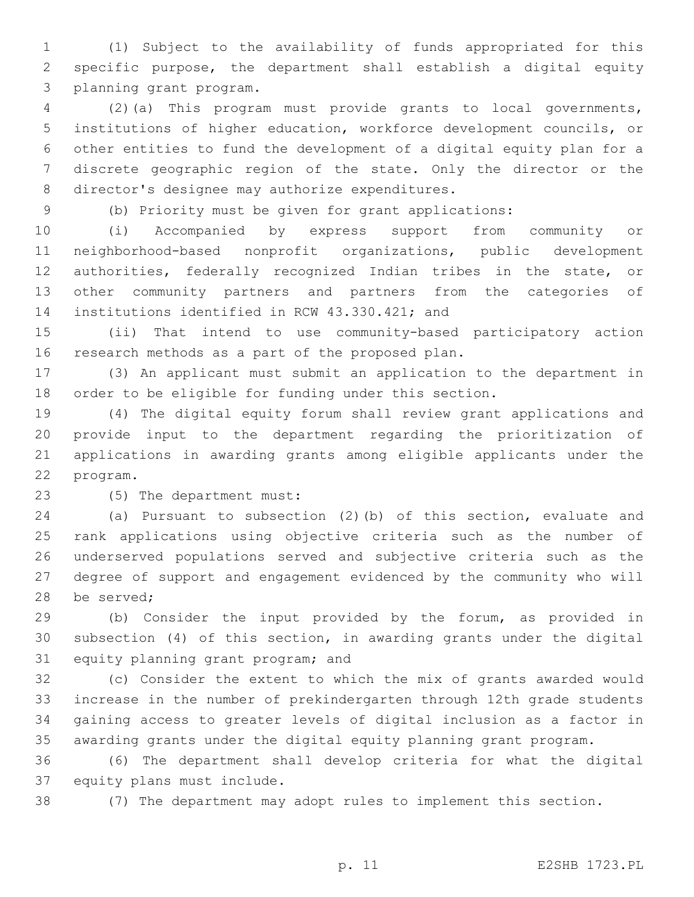(1) Subject to the availability of funds appropriated for this specific purpose, the department shall establish a digital equity 3 planning grant program.

 (2)(a) This program must provide grants to local governments, institutions of higher education, workforce development councils, or other entities to fund the development of a digital equity plan for a discrete geographic region of the state. Only the director or the 8 director's designee may authorize expenditures.

(b) Priority must be given for grant applications:

 (i) Accompanied by express support from community or neighborhood-based nonprofit organizations, public development authorities, federally recognized Indian tribes in the state, or other community partners and partners from the categories of 14 institutions identified in RCW 43.330.421; and

 (ii) That intend to use community-based participatory action 16 research methods as a part of the proposed plan.

 (3) An applicant must submit an application to the department in order to be eligible for funding under this section.

 (4) The digital equity forum shall review grant applications and provide input to the department regarding the prioritization of applications in awarding grants among eligible applicants under the 22 program.

23 (5) The department must:

 (a) Pursuant to subsection (2)(b) of this section, evaluate and rank applications using objective criteria such as the number of underserved populations served and subjective criteria such as the degree of support and engagement evidenced by the community who will 28 be served;

 (b) Consider the input provided by the forum, as provided in subsection (4) of this section, in awarding grants under the digital 31 equity planning grant program; and

 (c) Consider the extent to which the mix of grants awarded would increase in the number of prekindergarten through 12th grade students gaining access to greater levels of digital inclusion as a factor in awarding grants under the digital equity planning grant program.

 (6) The department shall develop criteria for what the digital 37 equity plans must include.

(7) The department may adopt rules to implement this section.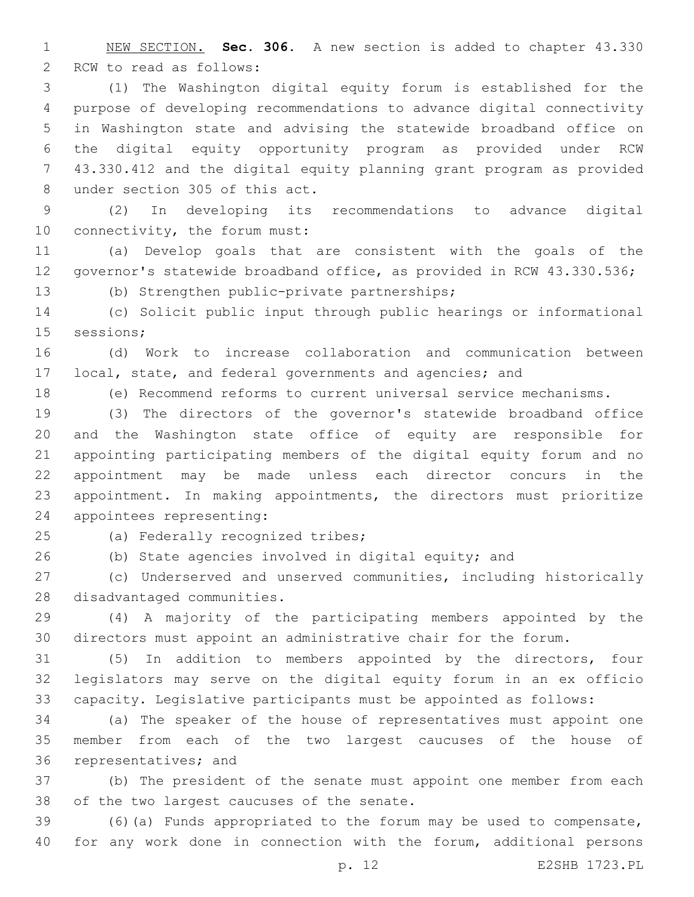NEW SECTION. **Sec. 306.** A new section is added to chapter 43.330 2 RCW to read as follows:

 (1) The Washington digital equity forum is established for the purpose of developing recommendations to advance digital connectivity in Washington state and advising the statewide broadband office on the digital equity opportunity program as provided under RCW 43.330.412 and the digital equity planning grant program as provided 8 under section 305 of this act.

 (2) In developing its recommendations to advance digital 10 connectivity, the forum must:

 (a) Develop goals that are consistent with the goals of the governor's statewide broadband office, as provided in RCW 43.330.536;

(b) Strengthen public-private partnerships;

 (c) Solicit public input through public hearings or informational 15 sessions;

 (d) Work to increase collaboration and communication between local, state, and federal governments and agencies; and

(e) Recommend reforms to current universal service mechanisms.

 (3) The directors of the governor's statewide broadband office and the Washington state office of equity are responsible for appointing participating members of the digital equity forum and no appointment may be made unless each director concurs in the appointment. In making appointments, the directors must prioritize 24 appointees representing:

25 (a) Federally recognized tribes;

(b) State agencies involved in digital equity; and

 (c) Underserved and unserved communities, including historically 28 disadvantaged communities.

 (4) A majority of the participating members appointed by the directors must appoint an administrative chair for the forum.

 (5) In addition to members appointed by the directors, four legislators may serve on the digital equity forum in an ex officio capacity. Legislative participants must be appointed as follows:

 (a) The speaker of the house of representatives must appoint one member from each of the two largest caucuses of the house of 36 representatives; and

 (b) The president of the senate must appoint one member from each 38 of the two largest caucuses of the senate.

 (6)(a) Funds appropriated to the forum may be used to compensate, for any work done in connection with the forum, additional persons

p. 12 E2SHB 1723.PL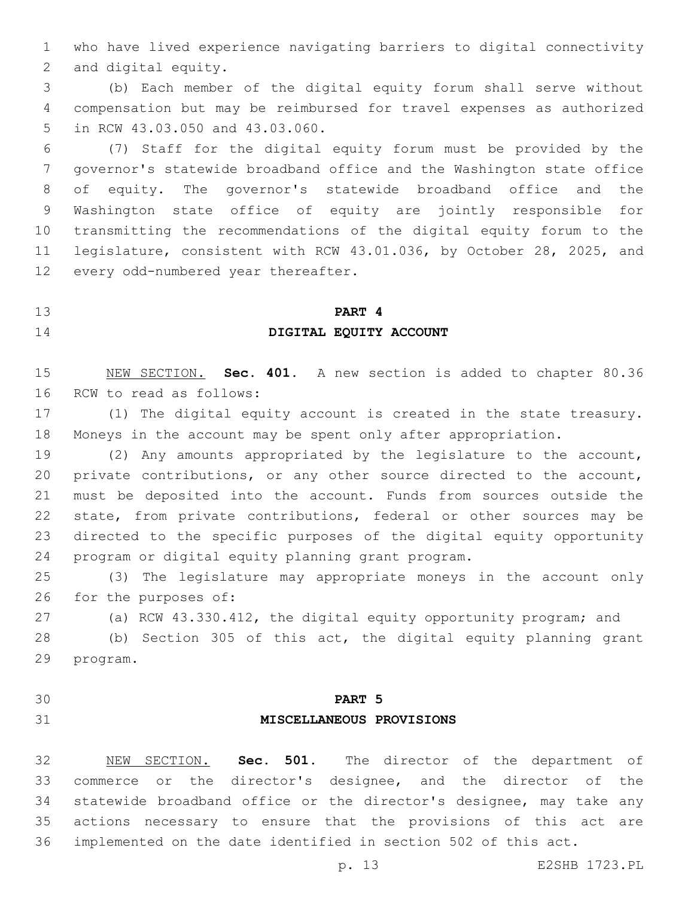who have lived experience navigating barriers to digital connectivity 2 and digital equity.

 (b) Each member of the digital equity forum shall serve without compensation but may be reimbursed for travel expenses as authorized 5 in RCW 43.03.050 and 43.03.060.

 (7) Staff for the digital equity forum must be provided by the governor's statewide broadband office and the Washington state office of equity. The governor's statewide broadband office and the Washington state office of equity are jointly responsible for transmitting the recommendations of the digital equity forum to the legislature, consistent with RCW 43.01.036, by October 28, 2025, and 12 every odd-numbered year thereafter.

# **PART 4 DIGITAL EQUITY ACCOUNT**

 NEW SECTION. **Sec. 401.** A new section is added to chapter 80.36 16 RCW to read as follows:

 (1) The digital equity account is created in the state treasury. Moneys in the account may be spent only after appropriation.

 (2) Any amounts appropriated by the legislature to the account, private contributions, or any other source directed to the account, must be deposited into the account. Funds from sources outside the state, from private contributions, federal or other sources may be directed to the specific purposes of the digital equity opportunity 24 program or digital equity planning grant program.

 (3) The legislature may appropriate moneys in the account only 26 for the purposes of:

(a) RCW 43.330.412, the digital equity opportunity program; and

 (b) Section 305 of this act, the digital equity planning grant 29 program.

# **PART 5 MISCELLANEOUS PROVISIONS**

 NEW SECTION. **Sec. 501.** The director of the department of commerce or the director's designee, and the director of the statewide broadband office or the director's designee, may take any actions necessary to ensure that the provisions of this act are implemented on the date identified in section 502 of this act.

p. 13 E2SHB 1723.PL